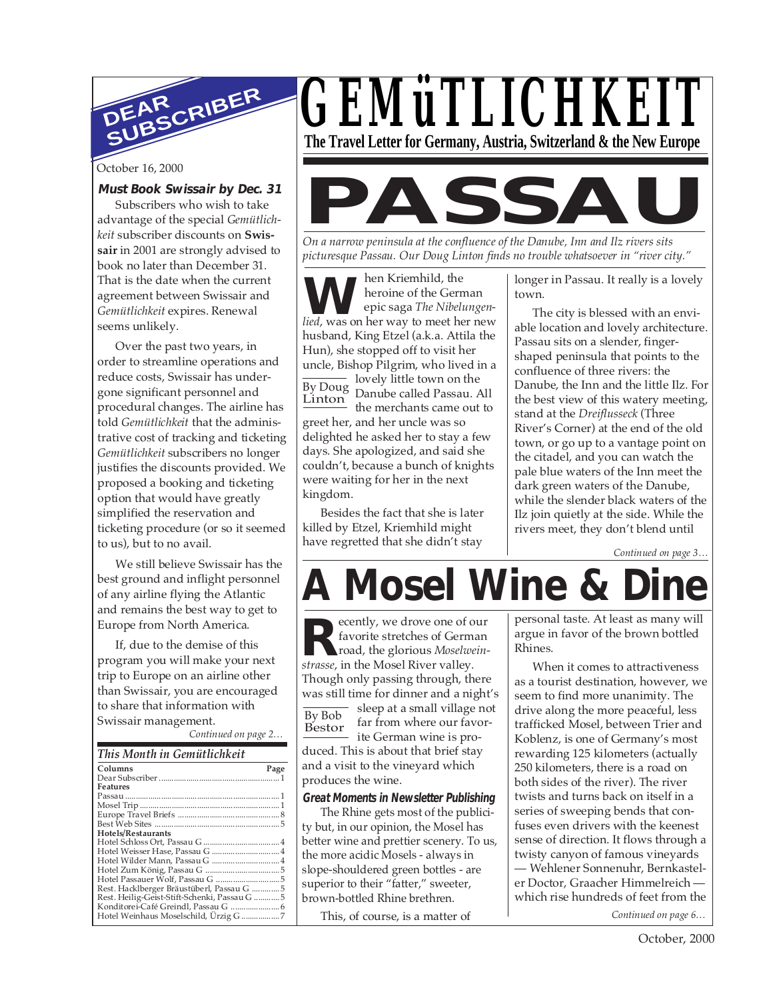

October 16, 2000

#### **Must Book Swissair by Dec. 31**

Subscribers who wish to take advantage of the special *Gemütlichkeit* subscriber discounts on **Swissair** in 2001 are strongly advised to book no later than December 31. That is the date when the current agreement between Swissair and *Gemütlichkeit* expires. Renewal seems unlikely.

Over the past two years, in order to streamline operations and reduce costs, Swissair has undergone significant personnel and procedural changes. The airline has told *Gemütlichkeit* that the administrative cost of tracking and ticketing *Gemütlichkeit* subscribers no longer justifies the discounts provided. We proposed a booking and ticketing option that would have greatly simplified the reservation and ticketing procedure (or so it seemed to us), but to no avail.

We still believe Swissair has the best ground and inflight personnel of any airline flying the Atlantic and remains the best way to get to Europe from North America.

If, due to the demise of this program you will make your next trip to Europe on an airline other than Swissair, you are encouraged to share that information with Swissair management.

*Continued on page 2…*

| Columns                                       | Page |
|-----------------------------------------------|------|
|                                               |      |
| Features                                      |      |
|                                               |      |
|                                               |      |
|                                               |      |
|                                               |      |
| Hotels/Restaurants                            |      |
|                                               |      |
| Hotel Weisser Hase, Passau G  4               |      |
| Hotel Wilder Mann, Passau G  4                |      |
|                                               |      |
|                                               |      |
| Rest. Hacklberger Bräustüberl, Passau G  5    |      |
| Rest. Heilig-Geist-Stift-Schenki, Passau G  5 |      |
|                                               |      |
| Hotel Weinhaus Moselschild, Ürzig G 7         |      |



**PASSAU**

*On a narrow peninsula at the confluence of the Danube, Inn and Ilz rivers sits picturesque Passau. Our Doug Linton finds no trouble whatsoever in "river city."*

**WE** hen Kriemhild, the<br>
epic saga *The Nibelungen-<br>
lied,* was on her way to meet her new hen Kriemhild, the heroine of the German epic saga *The Nibelungen*husband, King Etzel (a.k.a. Attila the Hun), she stopped off to visit her uncle, Bishop Pilgrim, who lived in a lovely little town on the

By Doug Linton Danube called Passau. All the merchants came out to greet her, and her uncle was so delighted he asked her to stay a few days. She apologized, and said she couldn't, because a bunch of knights were waiting for her in the next kingdom.

Besides the fact that she is later killed by Etzel, Kriemhild might have regretted that she didn't stay

longer in Passau. It really is a lovely town.

The city is blessed with an enviable location and lovely architecture. Passau sits on a slender, fingershaped peninsula that points to the confluence of three rivers: the Danube, the Inn and the little Ilz. For the best view of this watery meeting, stand at the *Dreiflusseck* (Three River's Corner) at the end of the old town, or go up to a vantage point on the citadel, and you can watch the pale blue waters of the Inn meet the dark green waters of the Danube, while the slender black waters of the Ilz join quietly at the side. While the rivers meet, they don't blend until

*Continued on page 3…*

# **A Mosel Wine & Dine**

Bestor ecently, we drove one of our favorite stretches of German road, the glorious *Moselwein***k** favorite stretches of Germ road, the glorious *Moselwe strasse*, in the Mosel River valley. Though only passing through, there was still time for dinner and a night's sleep at a small village not far from where our favorite German wine is produced. This is about that brief stay and a visit to the vineyard which produces the wine.

#### **Great Moments in Newsletter Publishing**

The Rhine gets most of the publicity but, in our opinion, the Mosel has better wine and prettier scenery. To us, the more acidic Mosels - always in slope-shouldered green bottles - are superior to their "fatter," sweeter, brown-bottled Rhine brethren.

This, of course, is a matter of

personal taste. At least as many will argue in favor of the brown bottled Rhines.

*Continued on page 6…* When it comes to attractiveness as a tourist destination, however, we seem to find more unanimity. The drive along the more peaceful, less trafficked Mosel, between Trier and Koblenz, is one of Germany's most rewarding 125 kilometers (actually 250 kilometers, there is a road on both sides of the river). The river twists and turns back on itself in a series of sweeping bends that confuses even drivers with the keenest sense of direction. It flows through a twisty canyon of famous vineyards — Wehlener Sonnenuhr, Bernkasteler Doctor, Graacher Himmelreich which rise hundreds of feet from the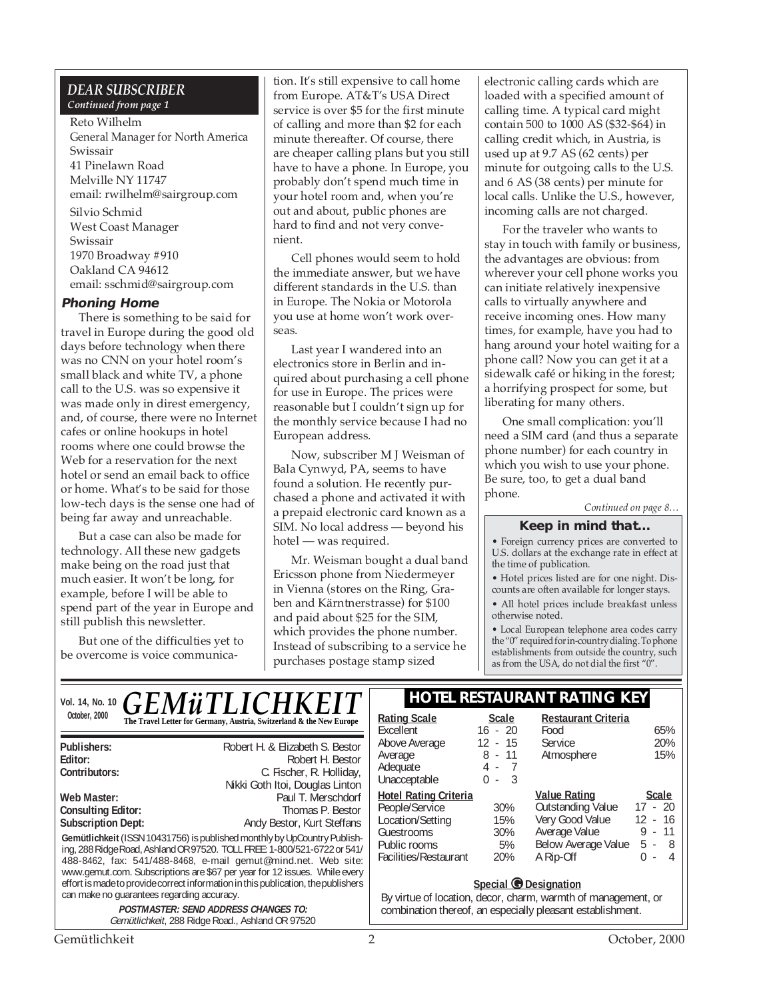#### *DEAR SUBSCRIBER Continued from page 1*

#### Reto Wilhelm General Manager for North America Swissair 41 Pinelawn Road Melville NY 11747 email: rwilhelm@sairgroup.com Silvio Schmid West Coast Manager Swissair 1970 Broadway #910 Oakland CA 94612 email: sschmid@sairgroup.com

#### **Phoning Home**

There is something to be said for travel in Europe during the good old days before technology when there was no CNN on your hotel room's small black and white TV, a phone call to the U.S. was so expensive it was made only in direst emergency, and, of course, there were no Internet cafes or online hookups in hotel rooms where one could browse the Web for a reservation for the next hotel or send an email back to office or home. What's to be said for those low-tech days is the sense one had of being far away and unreachable.

But a case can also be made for technology. All these new gadgets make being on the road just that much easier. It won't be long, for example, before I will be able to spend part of the year in Europe and still publish this newsletter.

But one of the difficulties yet to be overcome is voice communication. It's still expensive to call home from Europe. AT&T's USA Direct service is over \$5 for the first minute of calling and more than \$2 for each minute thereafter. Of course, there are cheaper calling plans but you still have to have a phone. In Europe, you probably don't spend much time in your hotel room and, when you're out and about, public phones are hard to find and not very convenient.

Cell phones would seem to hold the immediate answer, but we have different standards in the U.S. than in Europe. The Nokia or Motorola you use at home won't work overseas.

Last year I wandered into an electronics store in Berlin and inquired about purchasing a cell phone for use in Europe. The prices were reasonable but I couldn't sign up for the monthly service because I had no European address.

Now, subscriber M J Weisman of Bala Cynwyd, PA, seems to have found a solution. He recently purchased a phone and activated it with a prepaid electronic card known as a SIM. No local address — beyond his hotel — was required.

Mr. Weisman bought a dual band Ericsson phone from Niedermeyer in Vienna (stores on the Ring, Graben and Kärntnerstrasse) for \$100 and paid about \$25 for the SIM, which provides the phone number. Instead of subscribing to a service he purchases postage stamp sized

electronic calling cards which are loaded with a specified amount of calling time. A typical card might contain 500 to 1000 AS (\$32-\$64) in calling credit which, in Austria, is used up at 9.7 AS (62 cents) per minute for outgoing calls to the U.S. and 6 AS (38 cents) per minute for local calls. Unlike the U.S., however, incoming calls are not charged.

For the traveler who wants to stay in touch with family or business, the advantages are obvious: from wherever your cell phone works you can initiate relatively inexpensive calls to virtually anywhere and receive incoming ones. How many times, for example, have you had to hang around your hotel waiting for a phone call? Now you can get it at a sidewalk café or hiking in the forest; a horrifying prospect for some, but liberating for many others.

One small complication: you'll need a SIM card (and thus a separate phone number) for each country in which you wish to use your phone. Be sure, too, to get a dual band phone.

*Continued on page 8…*

#### **Keep in mind that...**

• Foreign currency prices are converted to U.S. dollars at the exchange rate in effect at the time of publication.

• Hotel prices listed are for one night. Discounts are often available for longer stays.

• All hotel prices include breakfast unless otherwise noted.

• Local European telephone area codes carry the "0" required for in-country dialing. To phone establishments from outside the country, such as from the USA, do not dial the first "0".

**Restaurant Criteria**

Food 65%<br>Service 20%

Vol. 14, No. 10 **C F M ii T I I C H K F I T** | HOTEL RESTAURANT RATING KEY October, 2000<br> **The Travel Letter for Germany, Austria, Switzerland & the New Europe** | <u>Rating Scale</u> Scale *GEMüTLICHKEIT*

| Publishers:                                                                                                                                                                                                                                                                                                                                                                                                                           | Robert H. & Elizabeth S. Bestor |  |  |  |  |
|---------------------------------------------------------------------------------------------------------------------------------------------------------------------------------------------------------------------------------------------------------------------------------------------------------------------------------------------------------------------------------------------------------------------------------------|---------------------------------|--|--|--|--|
| Editor:                                                                                                                                                                                                                                                                                                                                                                                                                               | Robert H. Bestor                |  |  |  |  |
| Contributors:<br>C. Fischer, R. Holliday,                                                                                                                                                                                                                                                                                                                                                                                             |                                 |  |  |  |  |
|                                                                                                                                                                                                                                                                                                                                                                                                                                       | Nikki Goth Itoi, Douglas Linton |  |  |  |  |
| Web Master:                                                                                                                                                                                                                                                                                                                                                                                                                           | Paul T. Merschdorf              |  |  |  |  |
| <b>Consulting Editor:</b>                                                                                                                                                                                                                                                                                                                                                                                                             | Thomas P. Bestor                |  |  |  |  |
| <b>Subscription Dept:</b>                                                                                                                                                                                                                                                                                                                                                                                                             | Andy Bestor, Kurt Steffans      |  |  |  |  |
| Gemütlichkeit (ISSN 10431756) is published monthly by UpCountry Publish-<br>ing, 288 Ridge Road, Ashland OR 97520. TOLL FREE: 1-800/521-6722 or 541/<br>488-8462, fax: 541/488-8468, e-mail gemut@mind.net. Web site:<br>www.gemut.com. Subscriptions are \$67 per year for 12 issues. While every<br>effort is made to provide correct information in this publication, the publishers<br>can make no quarantees regarding accuracy. |                                 |  |  |  |  |
| <b>POSTMASTER: SEND ADDRESS CHANGES TO:</b><br>Gemütlichkeit, 288 Ridge Road., Ashland OR 97520                                                                                                                                                                                                                                                                                                                                       |                                 |  |  |  |  |

Excellent 16 - 20<br>Above Average 12 - 15

| Above Average                | 12 - 15 |     |                | Service                       |           | 20%          |
|------------------------------|---------|-----|----------------|-------------------------------|-----------|--------------|
| Average                      |         |     | 8 - 11         | Atmosphere                    |           | 15%          |
| Adequate                     |         | 4 - | $\overline{7}$ |                               |           |              |
| Unacceptable                 | 0 -     |     | - 3            |                               |           |              |
| <b>Hotel Rating Criteria</b> |         |     |                | <b>Value Rating</b>           |           | <b>Scale</b> |
| People/Service               |         |     | 30%            | <b>Outstanding Value</b>      | $17 - 20$ |              |
| Location/Setting             |         |     | 15%            | Very Good Value               | $12 - 16$ |              |
| Guestrooms                   |         |     | 30%            | Average Value                 |           | $9 - 11$     |
| Public rooms                 |         |     | 5%             | Below Average Value           | 5 -       | - 8          |
| Facilities/Restaurant        |         |     | 20%            | A Rip-Off                     |           | 4            |
|                              |         |     |                | $\cdot$ . $\bullet$ . $\cdot$ |           |              |

#### **Special G** Designation

By virtue of location, decor, charm, warmth of management, or combination thereof, an especially pleasant establishment.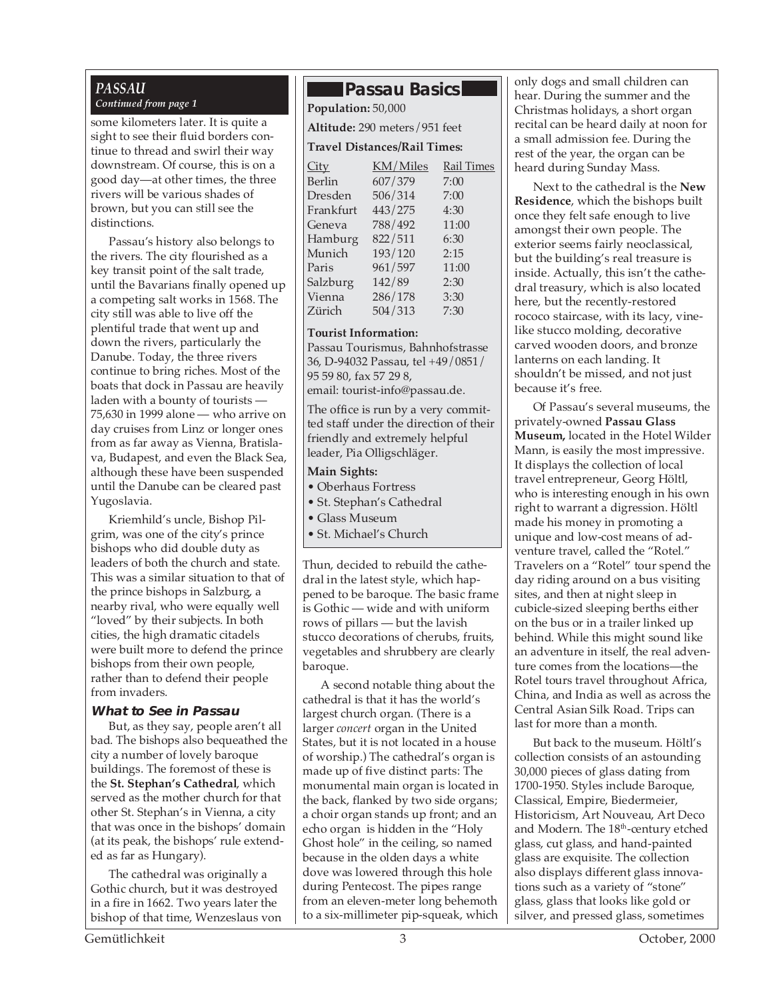### *PASSAU*

some kilometers later. It is quite a sight to see their fluid borders continue to thread and swirl their way downstream. Of course, this is on a good day—at other times, the three rivers will be various shades of brown, but you can still see the distinctions.

Passau's history also belongs to the rivers. The city flourished as a key transit point of the salt trade, until the Bavarians finally opened up a competing salt works in 1568. The city still was able to live off the plentiful trade that went up and down the rivers, particularly the Danube. Today, the three rivers continue to bring riches. Most of the boats that dock in Passau are heavily laden with a bounty of tourists — 75,630 in 1999 alone — who arrive on day cruises from Linz or longer ones from as far away as Vienna, Bratislava, Budapest, and even the Black Sea, although these have been suspended until the Danube can be cleared past Yugoslavia.

Kriemhild's uncle, Bishop Pilgrim, was one of the city's prince bishops who did double duty as leaders of both the church and state. This was a similar situation to that of the prince bishops in Salzburg, a nearby rival, who were equally well "loved" by their subjects. In both cities, the high dramatic citadels were built more to defend the prince bishops from their own people, rather than to defend their people from invaders.

#### **What to See in Passau**

But, as they say, people aren't all bad. The bishops also bequeathed the city a number of lovely baroque buildings. The foremost of these is the **St. Stephan's Cathedral**, which served as the mother church for that other St. Stephan's in Vienna, a city that was once in the bishops' domain (at its peak, the bishops' rule extended as far as Hungary).

The cathedral was originally a Gothic church, but it was destroyed in a fire in 1662. Two years later the bishop of that time, Wenzeslaus von

### **Passau Basics**

*Continued from page 1* **Population:** 50,000

**Altitude:** 290 meters/951 feet

#### **Travel Distances/Rail Times:**

| <u>City</u> | KM/Miles | <b>Rail Times</b> |
|-------------|----------|-------------------|
| Berlin      | 607/379  | 7:00              |
| Dresden     | 506/314  | 7:00              |
| Frankfurt   | 443/275  | 4:30              |
| Geneva      | 788/492  | 11:00             |
| Hamburg     | 822/511  | 6:30              |
| Munich      | 193/120  | 2:15              |
| Paris       | 961/597  | 11:00             |
| Salzburg    | 142/89   | 2:30              |
| Vienna      | 286/178  | 3:30              |
| Zürich      | 504/313  | 7:30              |
|             |          |                   |

#### **Tourist Information:**

Passau Tourismus, Bahnhofstrasse 36, D-94032 Passau, tel +49/0851/ 95 59 80, fax 57 29 8,

email: tourist-info@passau.de.

The office is run by a very committed staff under the direction of their friendly and extremely helpful leader, Pia Olligschläger.

#### **Main Sights:**

- Oberhaus Fortress
- St. Stephan's Cathedral
- Glass Museum
- St. Michael's Church

Thun, decided to rebuild the cathedral in the latest style, which happened to be baroque. The basic frame is Gothic — wide and with uniform rows of pillars — but the lavish stucco decorations of cherubs, fruits, vegetables and shrubbery are clearly baroque.

A second notable thing about the cathedral is that it has the world's largest church organ. (There is a larger *concert* organ in the United States, but it is not located in a house of worship.) The cathedral's organ is made up of five distinct parts: The monumental main organ is located in the back, flanked by two side organs; a choir organ stands up front; and an echo organ is hidden in the "Holy Ghost hole" in the ceiling, so named because in the olden days a white dove was lowered through this hole during Pentecost. The pipes range from an eleven-meter long behemoth to a six-millimeter pip-squeak, which

only dogs and small children can hear. During the summer and the Christmas holidays, a short organ recital can be heard daily at noon for a small admission fee. During the rest of the year, the organ can be heard during Sunday Mass.

Next to the cathedral is the **New Residence**, which the bishops built once they felt safe enough to live amongst their own people. The exterior seems fairly neoclassical, but the building's real treasure is inside. Actually, this isn't the cathedral treasury, which is also located here, but the recently-restored rococo staircase, with its lacy, vinelike stucco molding, decorative carved wooden doors, and bronze lanterns on each landing. It shouldn't be missed, and not just because it's free.

Of Passau's several museums, the privately-owned **Passau Glass Museum,** located in the Hotel Wilder Mann, is easily the most impressive. It displays the collection of local travel entrepreneur, Georg Höltl, who is interesting enough in his own right to warrant a digression. Höltl made his money in promoting a unique and low-cost means of adventure travel, called the "Rotel." Travelers on a "Rotel" tour spend the day riding around on a bus visiting sites, and then at night sleep in cubicle-sized sleeping berths either on the bus or in a trailer linked up behind. While this might sound like an adventure in itself, the real adventure comes from the locations—the Rotel tours travel throughout Africa, China, and India as well as across the Central Asian Silk Road. Trips can last for more than a month.

But back to the museum. Höltl's collection consists of an astounding 30,000 pieces of glass dating from 1700-1950. Styles include Baroque, Classical, Empire, Biedermeier, Historicism, Art Nouveau, Art Deco and Modern. The 18<sup>th</sup>-century etched glass, cut glass, and hand-painted glass are exquisite. The collection also displays different glass innovations such as a variety of "stone" glass, glass that looks like gold or silver, and pressed glass, sometimes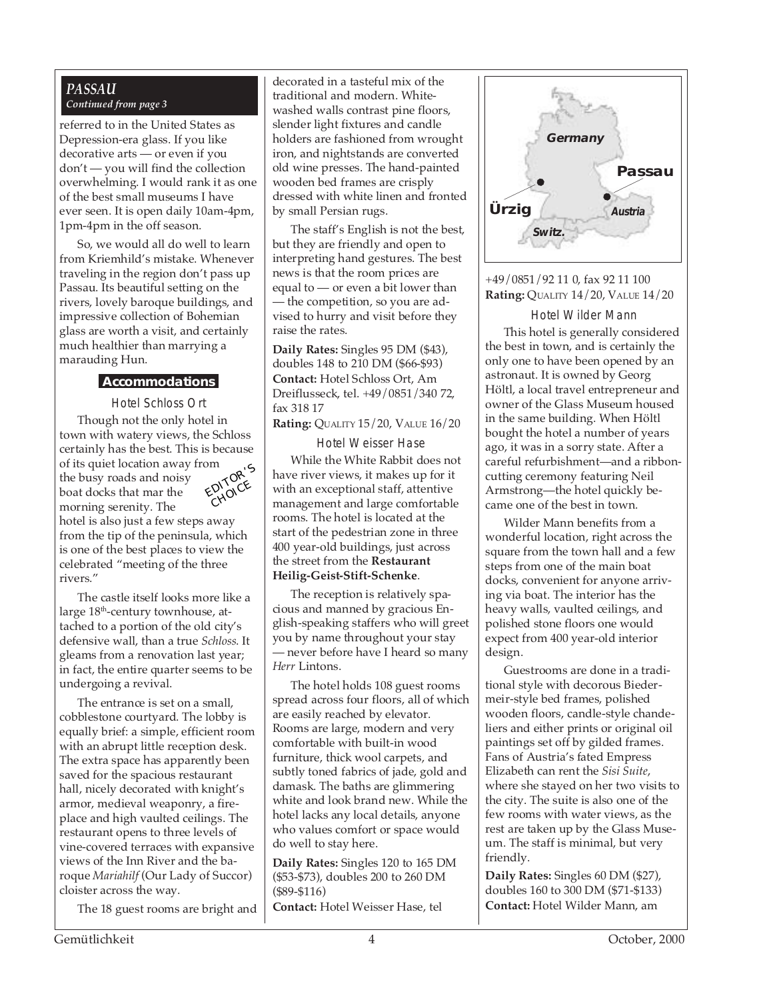#### *PASSAU Continued from page 3*

referred to in the United States as Depression-era glass. If you like decorative arts — or even if you don't — you will find the collection overwhelming. I would rank it as one of the best small museums I have ever seen. It is open daily 10am-4pm, 1pm-4pm in the off season.

So, we would all do well to learn from Kriemhild's mistake. Whenever traveling in the region don't pass up Passau. Its beautiful setting on the rivers, lovely baroque buildings, and impressive collection of Bohemian glass are worth a visit, and certainly much healthier than marrying a marauding Hun.

#### **Accommodations**

Hotel Schloss Ort Though not the only hotel in town with watery views, the Schloss certainly has the best. This is because of its quiet location away from the busy roads and noisy boat docks that mar the morning serenity. The hotel is also just a few steps away EDITOR'<sup>S</sup> CHOICE

from the tip of the peninsula, which is one of the best places to view the celebrated "meeting of the three rivers."

The castle itself looks more like a large 18<sup>th</sup>-century townhouse, attached to a portion of the old city's defensive wall, than a true *Schloss*. It gleams from a renovation last year; in fact, the entire quarter seems to be undergoing a revival.

The entrance is set on a small, cobblestone courtyard. The lobby is equally brief: a simple, efficient room with an abrupt little reception desk. The extra space has apparently been saved for the spacious restaurant hall, nicely decorated with knight's armor, medieval weaponry, a fireplace and high vaulted ceilings. The restaurant opens to three levels of vine-covered terraces with expansive views of the Inn River and the baroque *Mariahilf* (Our Lady of Succor) cloister across the way.

The 18 guest rooms are bright and

decorated in a tasteful mix of the traditional and modern. Whitewashed walls contrast pine floors, slender light fixtures and candle holders are fashioned from wrought iron, and nightstands are converted old wine presses. The hand-painted wooden bed frames are crisply dressed with white linen and fronted by small Persian rugs.

The staff's English is not the best, but they are friendly and open to interpreting hand gestures. The best news is that the room prices are equal to — or even a bit lower than — the competition, so you are advised to hurry and visit before they raise the rates.

**Daily Rates:** Singles 95 DM (\$43), doubles 148 to 210 DM (\$66-\$93) **Contact:** Hotel Schloss Ort, Am Dreiflusseck, tel. +49/0851/340 72, fax 318 17

**Rating:** QUALITY 15/20, VALUE 16/20

Hotel Weisser Hase While the White Rabbit does not have river views, it makes up for it with an exceptional staff, attentive management and large comfortable rooms. The hotel is located at the start of the pedestrian zone in three 400 year-old buildings, just across the street from the **Restaurant Heilig-Geist-Stift-Schenke**.

The reception is relatively spacious and manned by gracious English-speaking staffers who will greet you by name throughout your stay — never before have I heard so many *Herr* Lintons.

The hotel holds 108 guest rooms spread across four floors, all of which are easily reached by elevator. Rooms are large, modern and very comfortable with built-in wood furniture, thick wool carpets, and subtly toned fabrics of jade, gold and damask. The baths are glimmering white and look brand new. While the hotel lacks any local details, anyone who values comfort or space would do well to stay here.

**Daily Rates:** Singles 120 to 165 DM (\$53-\$73), doubles 200 to 260 DM (\$89-\$116) **Contact:** Hotel Weisser Hase, tel



#### +49/0851/92 11 0, fax 92 11 100 **Rating:** QUALITY 14/20, VALUE 14/20

Hotel Wilder Mann This hotel is generally considered the best in town, and is certainly the only one to have been opened by an astronaut. It is owned by Georg Höltl, a local travel entrepreneur and owner of the Glass Museum housed in the same building. When Höltl bought the hotel a number of years ago, it was in a sorry state. After a careful refurbishment—and a ribboncutting ceremony featuring Neil Armstrong—the hotel quickly became one of the best in town.

Wilder Mann benefits from a wonderful location, right across the square from the town hall and a few steps from one of the main boat docks, convenient for anyone arriving via boat. The interior has the heavy walls, vaulted ceilings, and polished stone floors one would expect from 400 year-old interior design.

Guestrooms are done in a traditional style with decorous Biedermeir-style bed frames, polished wooden floors, candle-style chandeliers and either prints or original oil paintings set off by gilded frames. Fans of Austria's fated Empress Elizabeth can rent the *Sisi Suite*, where she stayed on her two visits to the city. The suite is also one of the few rooms with water views, as the rest are taken up by the Glass Museum. The staff is minimal, but very friendly.

**Daily Rates:** Singles 60 DM (\$27), doubles 160 to 300 DM (\$71-\$133) **Contact:** Hotel Wilder Mann, am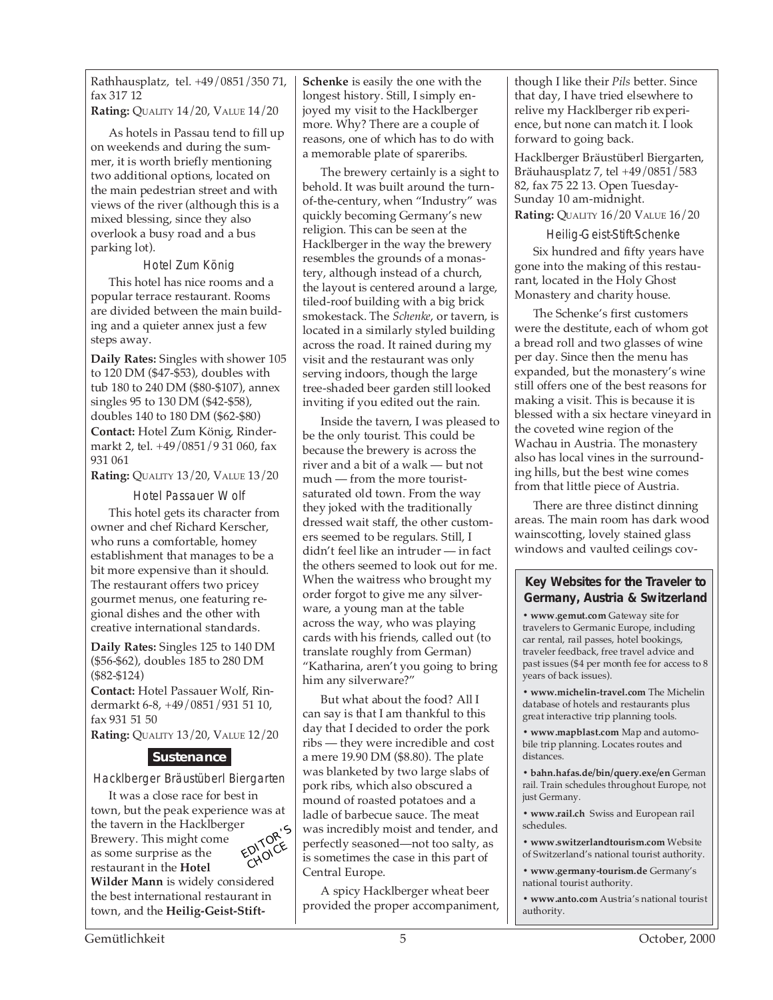Rathhausplatz, tel. +49/0851/350 71, fax 317 12

**Rating:** QUALITY 14/20, VALUE 14/20

As hotels in Passau tend to fill up on weekends and during the summer, it is worth briefly mentioning two additional options, located on the main pedestrian street and with views of the river (although this is a mixed blessing, since they also overlook a busy road and a bus parking lot).

Hotel Zum König

This hotel has nice rooms and a popular terrace restaurant. Rooms are divided between the main building and a quieter annex just a few steps away.

**Daily Rates:** Singles with shower 105 to 120 DM (\$47-\$53), doubles with tub 180 to 240 DM (\$80-\$107), annex singles 95 to 130 DM (\$42-\$58), doubles 140 to 180 DM (\$62-\$80) **Contact:** Hotel Zum König, Rindermarkt 2, tel. +49/0851/9 31 060, fax 931 061

**Rating:** QUALITY 13/20, VALUE 13/20

Hotel Passauer Wolf

This hotel gets its character from owner and chef Richard Kerscher, who runs a comfortable, homey establishment that manages to be a bit more expensive than it should. The restaurant offers two pricey gourmet menus, one featuring regional dishes and the other with creative international standards.

**Daily Rates:** Singles 125 to 140 DM (\$56-\$62), doubles 185 to 280 DM (\$82-\$124)

**Contact:** Hotel Passauer Wolf, Rindermarkt 6-8, +49/0851/931 51 10, fax 931 51 50

**Rating:** QUALITY 13/20, VALUE 12/20

#### **Sustenance**

Hacklberger Bräustüberl Biergarten

It was a close race for best in town, but the peak experience was at the tavern in the Hacklberger Brewery. This might come as some surprise as the restaurant in the **Hotel Wilder Mann** is widely considered EDITOR'<sup>S</sup> CHOICE

the best international restaurant in town, and the **Heilig-Geist-Stift-** **Schenke** is easily the one with the longest history. Still, I simply enjoyed my visit to the Hacklberger more. Why? There are a couple of reasons, one of which has to do with a memorable plate of spareribs.

The brewery certainly is a sight to behold. It was built around the turnof-the-century, when "Industry" was quickly becoming Germany's new religion. This can be seen at the Hacklberger in the way the brewery resembles the grounds of a monastery, although instead of a church, the layout is centered around a large, tiled-roof building with a big brick smokestack. The *Schenke*, or tavern, is located in a similarly styled building across the road. It rained during my visit and the restaurant was only serving indoors, though the large tree-shaded beer garden still looked inviting if you edited out the rain.

Inside the tavern, I was pleased to be the only tourist. This could be because the brewery is across the river and a bit of a walk — but not much — from the more touristsaturated old town. From the way they joked with the traditionally dressed wait staff, the other customers seemed to be regulars. Still, I didn't feel like an intruder — in fact the others seemed to look out for me. When the waitress who brought my order forgot to give me any silverware, a young man at the table across the way, who was playing cards with his friends, called out (to translate roughly from German) "Katharina, aren't you going to bring him any silverware?"

But what about the food? All I can say is that I am thankful to this day that I decided to order the pork ribs — they were incredible and cost a mere 19.90 DM (\$8.80). The plate was blanketed by two large slabs of pork ribs, which also obscured a mound of roasted potatoes and a ladle of barbecue sauce. The meat was incredibly moist and tender, and perfectly seasoned—not too salty, as is sometimes the case in this part of Central Europe.

A spicy Hacklberger wheat beer provided the proper accompaniment, though I like their *Pils* better. Since that day, I have tried elsewhere to relive my Hacklberger rib experience, but none can match it. I look forward to going back.

Hacklberger Bräustüberl Biergarten, Bräuhausplatz 7, tel +49/0851/583 82, fax 75 22 13. Open Tuesday-Sunday 10 am-midnight. **Rating:** QUALITY 16/20 VALUE 16/20

Heilig-Geist-Stift-Schenke Six hundred and fifty years have gone into the making of this restaurant, located in the Holy Ghost Monastery and charity house.

The Schenke's first customers were the destitute, each of whom got a bread roll and two glasses of wine per day. Since then the menu has expanded, but the monastery's wine still offers one of the best reasons for making a visit. This is because it is blessed with a six hectare vineyard in the coveted wine region of the Wachau in Austria. The monastery also has local vines in the surrounding hills, but the best wine comes from that little piece of Austria.

There are three distinct dinning areas. The main room has dark wood wainscotting, lovely stained glass windows and vaulted ceilings cov-

#### **Key Websites for the Traveler to Germany, Austria & Switzerland**

**• www.gemut.com** Gateway site for travelers to Germanic Europe, including car rental, rail passes, hotel bookings, traveler feedback, free travel advice and past issues (\$4 per month fee for access to 8 years of back issues).

**• www.michelin-travel.com** The Michelin database of hotels and restaurants plus great interactive trip planning tools.

**• www.mapblast.com** Map and automobile trip planning. Locates routes and distances.

**• bahn.hafas.de/bin/query.exe/en** German rail. Train schedules throughout Europe, not just Germany.

**• www.rail.ch** Swiss and European rail schedules.

**• www.switzerlandtourism.com** Website of Switzerland's national tourist authority.

**• www.germany-tourism.de** Germany's national tourist authority.

**• www.anto.com** Austria's national tourist authority.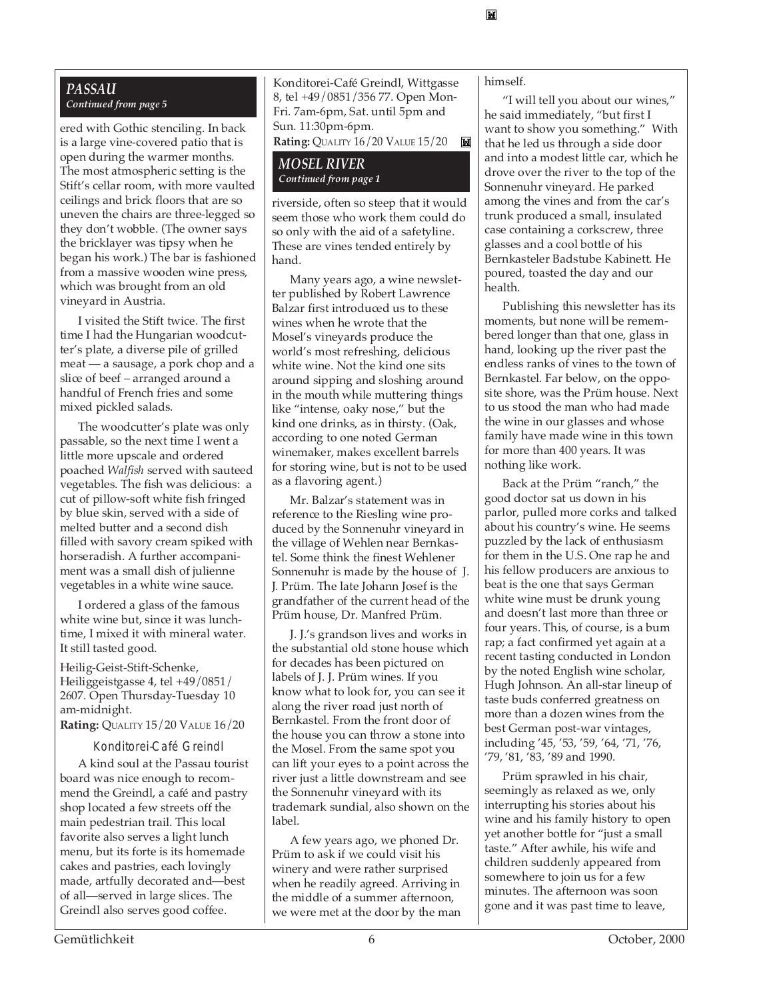#### *PASSAU Continued from page 5*

ered with Gothic stenciling. In back is a large vine-covered patio that is open during the warmer months. The most atmospheric setting is the Stift's cellar room, with more vaulted ceilings and brick floors that are so uneven the chairs are three-legged so they don't wobble. (The owner says the bricklayer was tipsy when he began his work.) The bar is fashioned from a massive wooden wine press, which was brought from an old vineyard in Austria.

I visited the Stift twice. The first time I had the Hungarian woodcutter's plate, a diverse pile of grilled meat — a sausage, a pork chop and a slice of beef – arranged around a handful of French fries and some mixed pickled salads.

The woodcutter's plate was only passable, so the next time I went a little more upscale and ordered poached *Walfish* served with sauteed vegetables. The fish was delicious: a cut of pillow-soft white fish fringed by blue skin, served with a side of melted butter and a second dish filled with savory cream spiked with horseradish. A further accompaniment was a small dish of julienne vegetables in a white wine sauce.

I ordered a glass of the famous white wine but, since it was lunchtime, I mixed it with mineral water. It still tasted good.

Heilig-Geist-Stift-Schenke, Heiliggeistgasse 4, tel +49/0851/ 2607. Open Thursday-Tuesday 10 am-midnight.

**Rating:** QUALITY 15/20 VALUE 16/20

Konditorei-Café Greindl

A kind soul at the Passau tourist board was nice enough to recommend the Greindl, a café and pastry shop located a few streets off the main pedestrian trail. This local favorite also serves a light lunch menu, but its forte is its homemade cakes and pastries, each lovingly made, artfully decorated and—best of all—served in large slices. The Greindl also serves good coffee.

Konditorei-Café Greindl, Wittgasse 8, tel +49/0851/356 77. Open Mon-Fri. 7am-6pm, Sat. until 5pm and Sun. 11:30pm-6pm.

**Rating:** QUALITY 16/20 VALUE 15/20 ikë |

#### *MOSEL RIVER Continued from page 1*

riverside, often so steep that it would seem those who work them could do so only with the aid of a safetyline. These are vines tended entirely by hand.

Many years ago, a wine newsletter published by Robert Lawrence Balzar first introduced us to these wines when he wrote that the Mosel's vineyards produce the world's most refreshing, delicious white wine. Not the kind one sits around sipping and sloshing around in the mouth while muttering things like "intense, oaky nose," but the kind one drinks, as in thirsty. (Oak, according to one noted German winemaker, makes excellent barrels for storing wine, but is not to be used as a flavoring agent.)

Mr. Balzar's statement was in reference to the Riesling wine produced by the Sonnenuhr vineyard in the village of Wehlen near Bernkastel. Some think the finest Wehlener Sonnenuhr is made by the house of J. J. Prüm. The late Johann Josef is the grandfather of the current head of the Prüm house, Dr. Manfred Prüm.

J. J.'s grandson lives and works in the substantial old stone house which for decades has been pictured on labels of J. J. Prüm wines. If you know what to look for, you can see it along the river road just north of Bernkastel. From the front door of the house you can throw a stone into the Mosel. From the same spot you can lift your eyes to a point across the river just a little downstream and see the Sonnenuhr vineyard with its trademark sundial, also shown on the label.

A few years ago, we phoned Dr. Prüm to ask if we could visit his winery and were rather surprised when he readily agreed. Arriving in the middle of a summer afternoon, we were met at the door by the man himself.

岡

"I will tell you about our wines," he said immediately, "but first I want to show you something." With that he led us through a side door and into a modest little car, which he drove over the river to the top of the Sonnenuhr vineyard. He parked among the vines and from the car's trunk produced a small, insulated case containing a corkscrew, three glasses and a cool bottle of his Bernkasteler Badstube Kabinett. He poured, toasted the day and our health.

Publishing this newsletter has its moments, but none will be remembered longer than that one, glass in hand, looking up the river past the endless ranks of vines to the town of Bernkastel. Far below, on the opposite shore, was the Prüm house. Next to us stood the man who had made the wine in our glasses and whose family have made wine in this town for more than 400 years. It was nothing like work.

Back at the Prüm "ranch," the good doctor sat us down in his parlor, pulled more corks and talked about his country's wine. He seems puzzled by the lack of enthusiasm for them in the U.S. One rap he and his fellow producers are anxious to beat is the one that says German white wine must be drunk young and doesn't last more than three or four years. This, of course, is a bum rap; a fact confirmed yet again at a recent tasting conducted in London by the noted English wine scholar, Hugh Johnson. An all-star lineup of taste buds conferred greatness on more than a dozen wines from the best German post-war vintages, including '45, '53, '59, '64, '71, '76, '79, '81, '83, '89 and 1990.

Prüm sprawled in his chair, seemingly as relaxed as we, only interrupting his stories about his wine and his family history to open yet another bottle for "just a small taste." After awhile, his wife and children suddenly appeared from somewhere to join us for a few minutes. The afternoon was soon gone and it was past time to leave,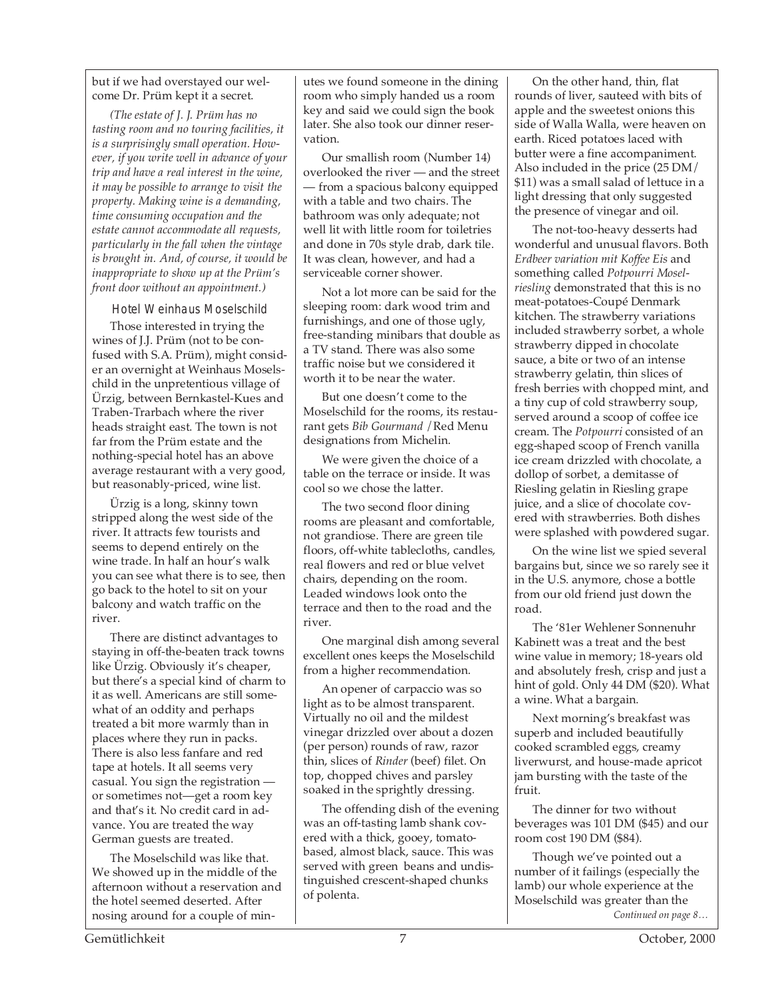but if we had overstayed our welcome Dr. Prüm kept it a secret.

*(The estate of J. J. Prüm has no tasting room and no touring facilities, it is a surprisingly small operation. However, if you write well in advance of your trip and have a real interest in the wine, it may be possible to arrange to visit the property. Making wine is a demanding, time consuming occupation and the estate cannot accommodate all requests, particularly in the fall when the vintage is brought in. And, of course, it would be inappropriate to show up at the Prüm's front door without an appointment.)*

Hotel Weinhaus Moselschild

Those interested in trying the wines of J.J. Prüm (not to be confused with S.A. Prüm), might consider an overnight at Weinhaus Moselschild in the unpretentious village of Ürzig, between Bernkastel-Kues and Traben-Trarbach where the river heads straight east. The town is not far from the Prüm estate and the nothing-special hotel has an above average restaurant with a very good, but reasonably-priced, wine list.

Ürzig is a long, skinny town stripped along the west side of the river. It attracts few tourists and seems to depend entirely on the wine trade. In half an hour's walk you can see what there is to see, then go back to the hotel to sit on your balcony and watch traffic on the river.

There are distinct advantages to staying in off-the-beaten track towns like Ürzig. Obviously it's cheaper, but there's a special kind of charm to it as well. Americans are still somewhat of an oddity and perhaps treated a bit more warmly than in places where they run in packs. There is also less fanfare and red tape at hotels. It all seems very casual. You sign the registration or sometimes not—get a room key and that's it. No credit card in advance. You are treated the way German guests are treated.

The Moselschild was like that. We showed up in the middle of the afternoon without a reservation and the hotel seemed deserted. After nosing around for a couple of minutes we found someone in the dining room who simply handed us a room key and said we could sign the book later. She also took our dinner reservation.

Our smallish room (Number 14) overlooked the river — and the street — from a spacious balcony equipped with a table and two chairs. The bathroom was only adequate; not well lit with little room for toiletries and done in 70s style drab, dark tile. It was clean, however, and had a serviceable corner shower.

Not a lot more can be said for the sleeping room: dark wood trim and furnishings, and one of those ugly, free-standing minibars that double as a TV stand. There was also some traffic noise but we considered it worth it to be near the water.

But one doesn't come to the Moselschild for the rooms, its restaurant gets *Bib Gourmand* /Red Menu designations from Michelin.

We were given the choice of a table on the terrace or inside. It was cool so we chose the latter.

The two second floor dining rooms are pleasant and comfortable, not grandiose. There are green tile floors, off-white tablecloths, candles, real flowers and red or blue velvet chairs, depending on the room. Leaded windows look onto the terrace and then to the road and the river.

One marginal dish among several excellent ones keeps the Moselschild from a higher recommendation.

An opener of carpaccio was so light as to be almost transparent. Virtually no oil and the mildest vinegar drizzled over about a dozen (per person) rounds of raw, razor thin, slices of *Rinder* (beef) filet. On top, chopped chives and parsley soaked in the sprightly dressing.

The offending dish of the evening was an off-tasting lamb shank covered with a thick, gooey, tomatobased, almost black, sauce. This was served with green beans and undistinguished crescent-shaped chunks of polenta.

On the other hand, thin, flat rounds of liver, sauteed with bits of apple and the sweetest onions this side of Walla Walla, were heaven on earth. Riced potatoes laced with butter were a fine accompaniment. Also included in the price (25 DM/ \$11) was a small salad of lettuce in a light dressing that only suggested the presence of vinegar and oil.

The not-too-heavy desserts had wonderful and unusual flavors. Both *Erdbeer variation mit Koffee Eis* and something called *Potpourri Moselriesling* demonstrated that this is no meat-potatoes-Coupé Denmark kitchen. The strawberry variations included strawberry sorbet, a whole strawberry dipped in chocolate sauce, a bite or two of an intense strawberry gelatin, thin slices of fresh berries with chopped mint, and a tiny cup of cold strawberry soup, served around a scoop of coffee ice cream. The *Potpourri* consisted of an egg-shaped scoop of French vanilla ice cream drizzled with chocolate, a dollop of sorbet, a demitasse of Riesling gelatin in Riesling grape juice, and a slice of chocolate covered with strawberries. Both dishes were splashed with powdered sugar.

On the wine list we spied several bargains but, since we so rarely see it in the U.S. anymore, chose a bottle from our old friend just down the road.

The '81er Wehlener Sonnenuhr Kabinett was a treat and the best wine value in memory; 18-years old and absolutely fresh, crisp and just a hint of gold. Only 44 DM (\$20). What a wine. What a bargain.

Next morning's breakfast was superb and included beautifully cooked scrambled eggs, creamy liverwurst, and house-made apricot jam bursting with the taste of the fruit.

The dinner for two without beverages was 101 DM (\$45) and our room cost 190 DM (\$84).

*Continued on page 8…* Though we've pointed out a number of it failings (especially the lamb) our whole experience at the Moselschild was greater than the